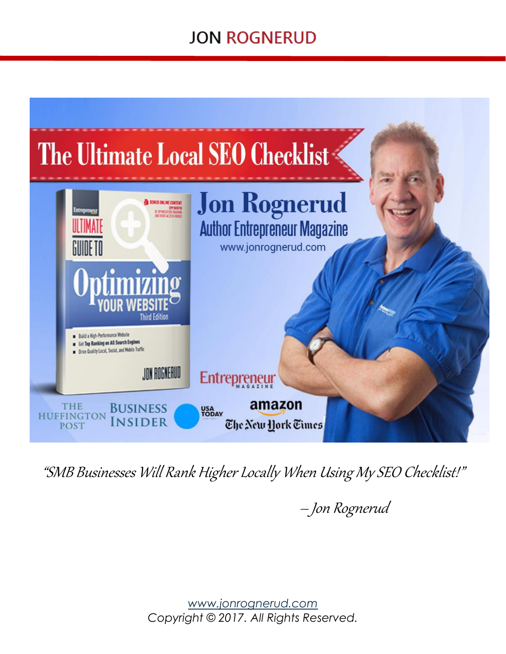## **JON ROGNERUD**



"SMB Businesses Will Rank Higher Locally When Using MySEO Checklist!"

Jon Rognerud

*[www.jonrognerud.com](http://www.jonrognerud.com/) Copyright © 2017. All Rights Reserved.*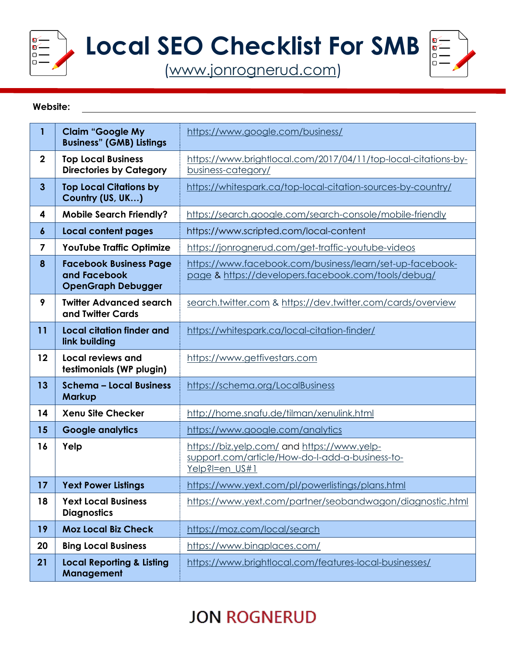

**Local SEO Checklist For SMB**

[\(www.jonrognerud.com\)](http://www.jonrognerud.com/)



#### **Website:**

| 1                       | <b>Claim "Google My</b><br><b>Business" (GMB) Listings</b>                 | https://www.google.com/business/                                                                                 |
|-------------------------|----------------------------------------------------------------------------|------------------------------------------------------------------------------------------------------------------|
| $\mathbf 2$             | <b>Top Local Business</b><br><b>Directories by Category</b>                | https://www.brightlocal.com/2017/04/11/top-local-citations-by-<br>business-category/                             |
| $\overline{\mathbf{3}}$ | <b>Top Local Citations by</b><br>Country (US, UK)                          | https://whitespark.ca/top-local-citation-sources-by-country/                                                     |
| 4                       | <b>Mobile Search Friendly?</b>                                             | https://search.google.com/search-console/mobile-friendly                                                         |
| 6                       | <b>Local content pages</b>                                                 | https://www.scripted.com/local-content                                                                           |
| 7                       | YouTube Traffic Optimize                                                   | https://jonrognerud.com/get-traffic-youtube-videos                                                               |
| 8                       | <b>Facebook Business Page</b><br>and Facebook<br><b>OpenGraph Debugger</b> | https://www.facebook.com/business/learn/set-up-facebook-<br>page & https://developers.facebook.com/tools/debug/  |
| 9                       | <b>Twitter Advanced search</b><br>and Twitter Cards                        | search.twitter.com & https://dev.twitter.com/cards/overview                                                      |
| 11                      | <b>Local citation finder and</b><br>link building                          | https://whitespark.ca/local-citation-finder/                                                                     |
| 12                      | Local reviews and<br>testimonials (WP plugin)                              | https://www.getfivestars.com                                                                                     |
| 13                      | <b>Schema - Local Business</b><br><b>Markup</b>                            | https://schema.org/LocalBusiness                                                                                 |
| 14                      | <b>Xenu Site Checker</b>                                                   | http://home.snafu.de/tilman/xenulink.html                                                                        |
| 15                      | <b>Google analytics</b>                                                    | https://www.google.com/analytics                                                                                 |
| 16                      | Yelp                                                                       | https://biz.yelp.com/ and https://www.yelp-<br>support.com/article/How-do-I-add-a-business-to-<br>Yelp?l=en US#1 |
| 17                      | <b>Yext Power Listings</b>                                                 | https://www.yext.com/pl/powerlistings/plans.html                                                                 |
| 18                      | <b>Yext Local Business</b><br><b>Diagnostics</b>                           | https://www.yext.com/partner/seobandwagon/diagnostic.html                                                        |
| 19                      | <b>Moz Local Biz Check</b>                                                 | https://moz.com/local/search                                                                                     |
| 20                      | <b>Bing Local Business</b>                                                 | https://www.bingplaces.com/                                                                                      |
| 21                      | <b>Local Reporting &amp; Listing</b><br>Management                         | https://www.brightlocal.com/features-local-businesses/                                                           |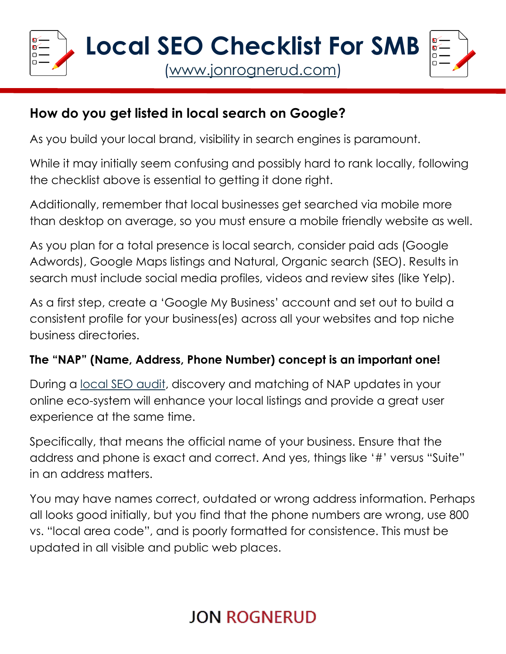

### **How do you get listed in local search on Google?**

As you build your local brand, visibility in search engines is paramount.

While it may initially seem confusing and possibly hard to rank locally, following the checklist above is essential to getting it done right.

Additionally, remember that local businesses get searched via mobile more than desktop on average, so you must ensure a mobile friendly website as well.

As you plan for a total presence is local search, consider paid ads (Google Adwords), Google Maps listings and Natural, Organic search (SEO). Results in search must include social media profiles, videos and review sites (like Yelp).

As a first step, create a 'Google My Business' account and set out to build a consistent profile for your business(es) across all your websites and top niche business directories.

### **The "NAP" (Name, Address, Phone Number) concept is an important one!**

During a [local SEO audit,](https://jonrognerud.com/seo-audit/) discovery and matching of NAP updates in your online eco-system will enhance your local listings and provide a great user experience at the same time.

Specifically, that means the official name of your business. Ensure that the address and phone is exact and correct. And yes, things like '#' versus "Suite" in an address matters.

You may have names correct, outdated or wrong address information. Perhaps all looks good initially, but you find that the phone numbers are wrong, use 800 vs. "local area code", and is poorly formatted for consistence. This must be updated in all visible and public web places.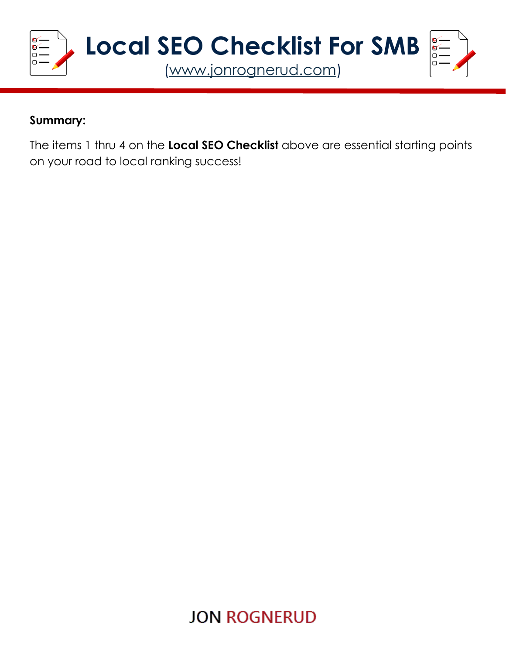

#### **Summary:**

The items 1 thru 4 on the **Local SEO Checklist** above are essential starting points on your road to local ranking success!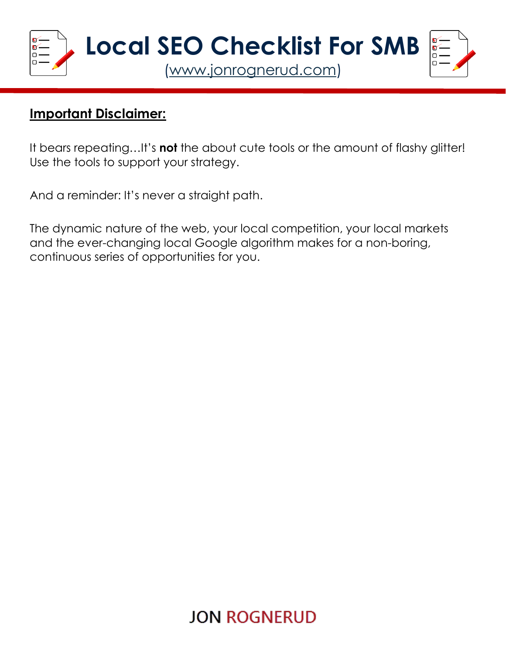

### **Important Disclaimer:**

It bears repeating…It's **not** the about cute tools or the amount of flashy glitter! Use the tools to support your strategy.

And a reminder: It's never a straight path.

The dynamic nature of the web, your local competition, your local markets and the ever-changing local Google algorithm makes for a non-boring, continuous series of opportunities for you.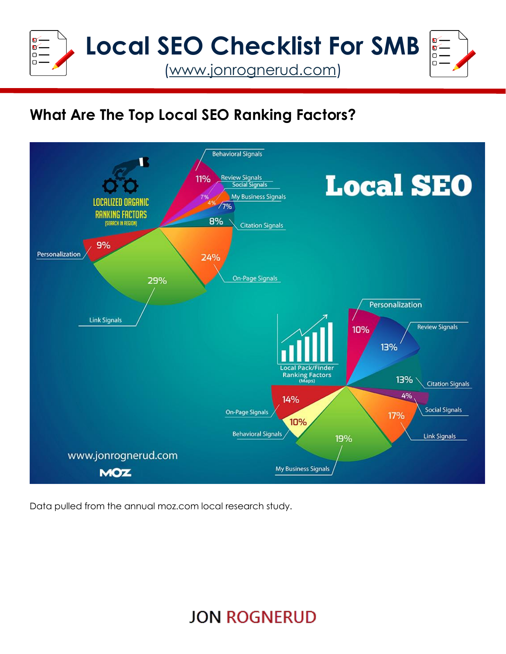

### **What Are The Top Local SEO Ranking Factors?**



Data pulled from the annual moz.com local research study.